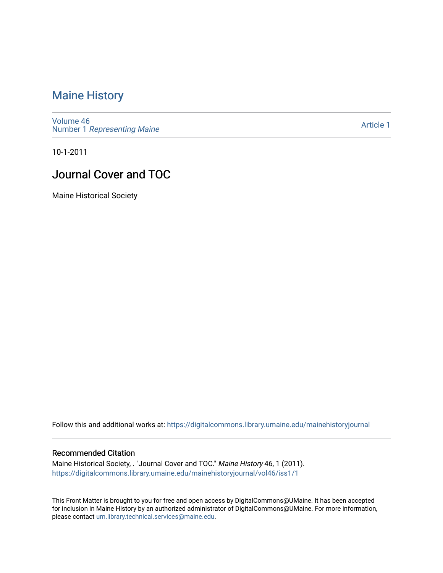### [Maine History](https://digitalcommons.library.umaine.edu/mainehistoryjournal)

[Volume 46](https://digitalcommons.library.umaine.edu/mainehistoryjournal/vol46) Number 1 [Representing Maine](https://digitalcommons.library.umaine.edu/mainehistoryjournal/vol46/iss1) 

[Article 1](https://digitalcommons.library.umaine.edu/mainehistoryjournal/vol46/iss1/1) 

10-1-2011

### Journal Cover and TOC

Maine Historical Society

Follow this and additional works at: [https://digitalcommons.library.umaine.edu/mainehistoryjournal](https://digitalcommons.library.umaine.edu/mainehistoryjournal?utm_source=digitalcommons.library.umaine.edu%2Fmainehistoryjournal%2Fvol46%2Fiss1%2F1&utm_medium=PDF&utm_campaign=PDFCoverPages) 

#### Recommended Citation

Maine Historical Society, . "Journal Cover and TOC." Maine History 46, 1 (2011). [https://digitalcommons.library.umaine.edu/mainehistoryjournal/vol46/iss1/1](https://digitalcommons.library.umaine.edu/mainehistoryjournal/vol46/iss1/1?utm_source=digitalcommons.library.umaine.edu%2Fmainehistoryjournal%2Fvol46%2Fiss1%2F1&utm_medium=PDF&utm_campaign=PDFCoverPages)

This Front Matter is brought to you for free and open access by DigitalCommons@UMaine. It has been accepted for inclusion in Maine History by an authorized administrator of DigitalCommons@UMaine. For more information, please contact [um.library.technical.services@maine.edu.](mailto:um.library.technical.services@maine.edu)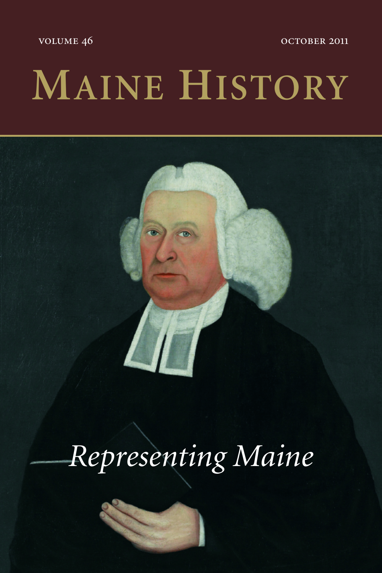VOLUME 46 OCTOBER 2011

## **MAINE HISTORY**



## *Representing Maine*

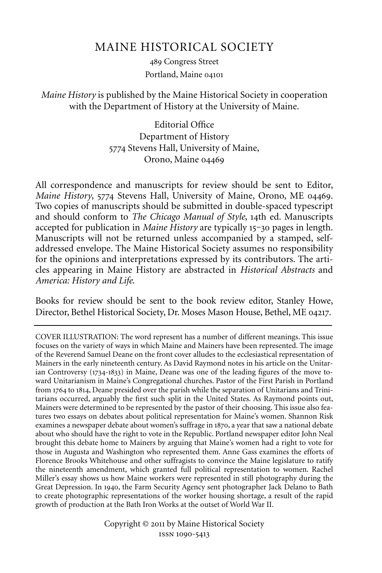### MAINE HISTORICAL SOCIETY

489 Congress Street Portland, Maine

### *Maine History* is published by the Maine Historical Society in cooperation with the Department of History at the University of Maine.

Editorial Office Department of History 5774 Stevens Hall, University of Maine, Orono, Maine

All correspondence and manuscripts for review should be sent to Editor, *Maine History*, 5774 Stevens Hall, University of Maine, Orono, ME 04469. Two copies of manuscripts should be submitted in double-spaced typescript and should conform to *The Chicago Manual of Style*, 14th ed. Manuscripts accepted for publication in *Maine History* are typically 15-30 pages in length. Manuscripts will not be returned unless accompanied by a stamped, selfaddressed envelope. The Maine Historical Society assumes no responsibility for the opinions and interpretations expressed by its contributors. The articles appearing in Maine History are abstracted in *Historical Abstracts* and *America: History and Life*.

Books for review should be sent to the book review editor, Stanley Howe, Director, Bethel Historical Society, Dr. Moses Mason House, Bethel, ME 04217.

COVER ILLUSTRATION: The word represent has a number of different meanings. This issue focuses on the variety of ways in which Maine and Mainers have been represented. The image of the Reverend Samuel Deane on the front cover alludes to the ecclesiastical representation of Mainers in the early nineteenth century. As David Raymond notes in his article on the Unitarian Controversy  $(1734-1833)$  in Maine, Deane was one of the leading figures of the move toward Unitarianism in Maine's Congregational churches. Pastor of the First Parish in Portland from 1764 to 1814, Deane presided over the parish while the separation of Unitarians and Trinitarians occurred, arguably the first such split in the United States. As Raymond points out, Mainers were determined to be represented by the pastor of their choosing. This issue also features two essays on debates about political representation for Maine's women. Shannon Risk examines a newspaper debate about women's suffrage in 1870, a year that saw a national debate about who should have the right to vote in the Republic. Portland newspaper editor John Neal brought this debate home to Mainers by arguing that Maine's women had a right to vote for those in Augusta and Washington who represented them. Anne Gass examines the efforts of Florence Brooks Whitehouse and other suffragists to convince the Maine legislature to ratify the nineteenth amendment, which granted full political representation to women. Rachel Miller's essay shows us how Maine workers were represented in still photography during the Great Depression. In 1940, the Farm Security Agency sent photographer Jack Delano to Bath to create photographic representations of the worker housing shortage, a result of the rapid growth of production at the Bath Iron Works at the outset of World War II.

> Copyright © 2011 by Maine Historical Society ISSN 1090-5413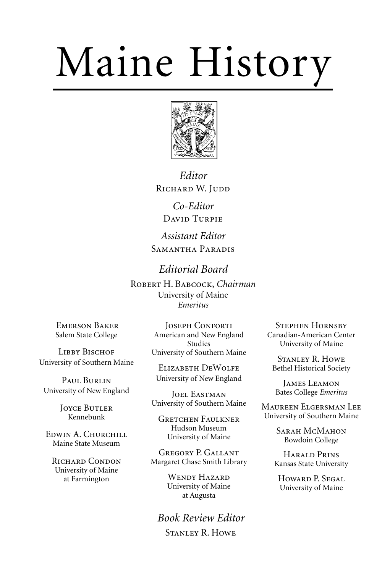# Maine History



*Editor* RICHARD W. JUDD

> *Co-Editor* DAVID TURPIE

*Assistant Editor* SAMANTHA PARADIS

*Editorial Board* ROBERT H. BABCOCK, Chairman University of Maine *Emeritus*

EMERSON BAKER Salem State College

LIBBY BISCHOF University of Southern Maine

PAUL BURLIN University of New England

> **JOYCE BUTLER** Kennebunk

EDWIN A. CHURCHILL Maine State Museum

RICHARD CONDON University of Maine at Farmington

**JOSEPH CONFORTI** American and New England Studies University of Southern Maine

ELIZABETH DEWOLFE University of New England

JOEL EASTMAN University of Southern Maine

**GRETCHEN FAULKNER** Hudson Museum University of Maine

GREGORY P. GALLANT Margaret Chase Smith Library

> WENDY HAZARD University of Maine at Augusta

*Book Review Editor* STANLEY R. HOWE

**STEPHEN HORNSBY** Canadian-American Center University of Maine

**STANLEY R. HOWE** Bethel Historical Society

JAMES LEAMON Bates College *Emeritus* 

MAUREEN ELGERSMAN LEE University of Southern Maine

> SARAH MCMAHON Bowdoin College

HARALD PRINS Kansas State University

HOWARD P. SEGAL University of Maine